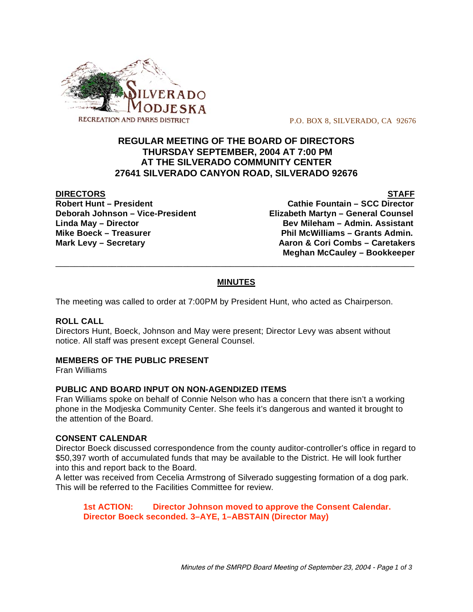

P.O. BOX 8, SILVERADO, CA 92676

# **REGULAR MEETING OF THE BOARD OF DIRECTORS THURSDAY SEPTEMBER, 2004 AT 7:00 PM AT THE SILVERADO COMMUNITY CENTER 27641 SILVERADO CANYON ROAD, SILVERADO 92676**

#### **DIRECTORS STAFF**

**Robert Hunt – President Cathie Fountain – SCC Director Deborah Johnson – Vice-President Elizabeth Martyn – General Counsel Linda May – Director Bev Mileham – Admin. Assistant** Mike Boeck – Treasurer **Phil McWilliams – Grants Admin. Mark Levy – Secretary Aaron & Cori Combs – Caretakers Meghan McCauley – Bookkeeper**

# **MINUTES**

\_\_\_\_\_\_\_\_\_\_\_\_\_\_\_\_\_\_\_\_\_\_\_\_\_\_\_\_\_\_\_\_\_\_\_\_\_\_\_\_\_\_\_\_\_\_\_\_\_\_\_\_\_\_\_\_\_\_\_\_\_\_\_\_\_\_\_\_\_\_\_\_\_\_\_\_

The meeting was called to order at 7:00PM by President Hunt, who acted as Chairperson.

### **ROLL CALL**

Directors Hunt, Boeck, Johnson and May were present; Director Levy was absent without notice. All staff was present except General Counsel.

### **MEMBERS OF THE PUBLIC PRESENT**

Fran Williams

### **PUBLIC AND BOARD INPUT ON NON-AGENDIZED ITEMS**

Fran Williams spoke on behalf of Connie Nelson who has a concern that there isn't a working phone in the Modjeska Community Center. She feels it's dangerous and wanted it brought to the attention of the Board.

#### **CONSENT CALENDAR**

Director Boeck discussed correspondence from the county auditor-controller's office in regard to \$50,397 worth of accumulated funds that may be available to the District. He will look further into this and report back to the Board.

A letter was received from Cecelia Armstrong of Silverado suggesting formation of a dog park. This will be referred to the Facilities Committee for review.

**1st ACTION: Director Johnson moved to approve the Consent Calendar. Director Boeck seconded. 3–AYE, 1–ABSTAIN (Director May)**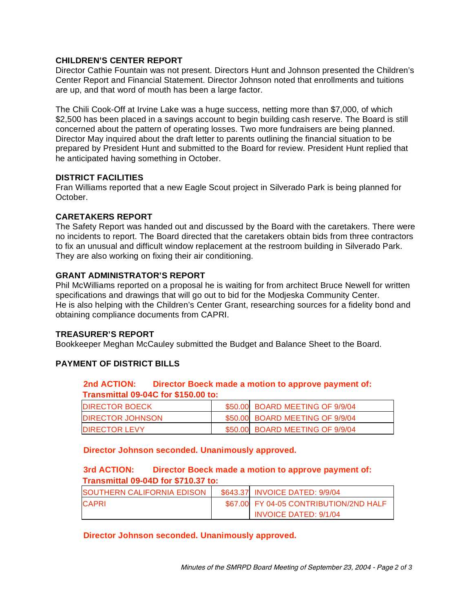### **CHILDREN'S CENTER REPORT**

Director Cathie Fountain was not present. Directors Hunt and Johnson presented the Children's Center Report and Financial Statement. Director Johnson noted that enrollments and tuitions are up, and that word of mouth has been a large factor.

The Chili Cook-Off at Irvine Lake was a huge success, netting more than \$7,000, of which \$2,500 has been placed in a savings account to begin building cash reserve. The Board is still concerned about the pattern of operating losses. Two more fundraisers are being planned. Director May inquired about the draft letter to parents outlining the financial situation to be prepared by President Hunt and submitted to the Board for review. President Hunt replied that he anticipated having something in October.

### **DISTRICT FACILITIES**

Fran Williams reported that a new Eagle Scout project in Silverado Park is being planned for October.

### **CARETAKERS REPORT**

The Safety Report was handed out and discussed by the Board with the caretakers. There were no incidents to report. The Board directed that the caretakers obtain bids from three contractors to fix an unusual and difficult window replacement at the restroom building in Silverado Park. They are also working on fixing their air conditioning.

### **GRANT ADMINISTRATOR'S REPORT**

Phil McWilliams reported on a proposal he is waiting for from architect Bruce Newell for written specifications and drawings that will go out to bid for the Modjeska Community Center. He is also helping with the Children's Center Grant, researching sources for a fidelity bond and obtaining compliance documents from CAPRI.

### **TREASURER'S REPORT**

Bookkeeper Meghan McCauley submitted the Budget and Balance Sheet to the Board.

# **PAYMENT OF DISTRICT BILLS**

# **2nd ACTION: Director Boeck made a motion to approve payment of: Transmittal 09-04C for \$150.00 to:**

| <b>DIRECTOR BOECK</b>   | \$50.00 BOARD MEETING OF 9/9/04 |
|-------------------------|---------------------------------|
| <b>DIRECTOR JOHNSON</b> | \$50.00 BOARD MEETING OF 9/9/04 |
| <b>DIRECTOR LEVY</b>    | \$50.00 BOARD MEETING OF 9/9/04 |

**Director Johnson seconded. Unanimously approved.** 

# **3rd ACTION: Director Boeck made a motion to approve payment of: Transmittal 09-04D for \$710.37 to:**

| <b>SOUTHERN CALIFORNIA EDISON</b> | \$643.37 INVOICE DATED: 9/9/04         |
|-----------------------------------|----------------------------------------|
| <b>CAPRI</b>                      | \$67.00 FY 04-05 CONTRIBUTION/2ND HALF |
|                                   | <b>INVOICE DATED: 9/1/04</b>           |

**Director Johnson seconded. Unanimously approved.**